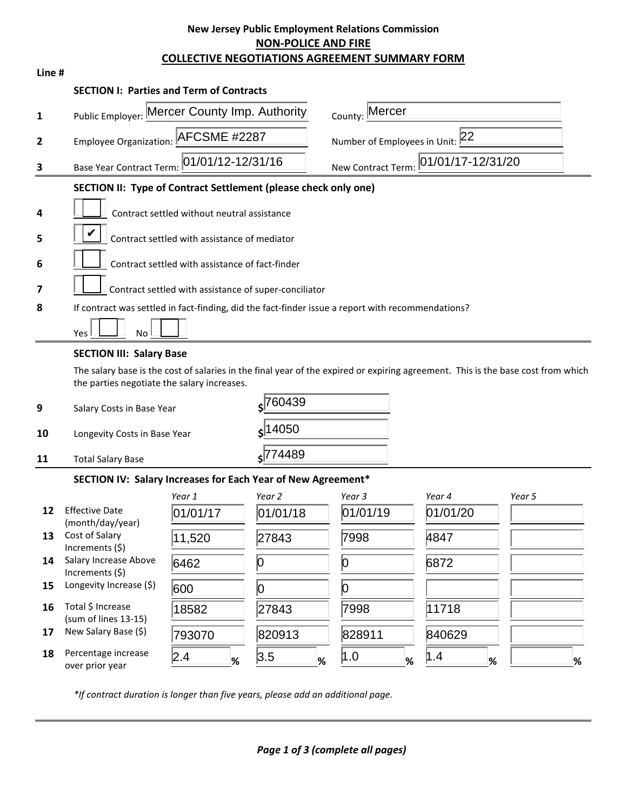## **New Jersey Public Employment Relations Commission NON-POLICE AND FIRE COLLECTIVE NEGOTIATIONS AGREEMENT SUMMARY FORM**

| Line #         |                                                                                                                                                                                 |                                                                                                |              |              |                     |        |
|----------------|---------------------------------------------------------------------------------------------------------------------------------------------------------------------------------|------------------------------------------------------------------------------------------------|--------------|--------------|---------------------|--------|
|                | <b>SECTION I: Parties and Term of Contracts</b>                                                                                                                                 |                                                                                                |              |              |                     |        |
| 1              |                                                                                                                                                                                 | Mercer<br>Public Employer: Mercer County Imp. Authority<br>County:                             |              |              |                     |        |
| $\overline{2}$ |                                                                                                                                                                                 | Employee Organization: AFCSME #2287<br>Number of Employees in Unit: 22                         |              |              |                     |        |
| 3              |                                                                                                                                                                                 | 01/01/12-12/31/16<br>01/01/17-12/31/20<br><b>Base Year Contract Term</b><br>New Contract Term: |              |              |                     |        |
|                | SECTION II: Type of Contract Settlement (please check only one)                                                                                                                 |                                                                                                |              |              |                     |        |
| 4              |                                                                                                                                                                                 | Contract settled without neutral assistance                                                    |              |              |                     |        |
|                |                                                                                                                                                                                 |                                                                                                |              |              |                     |        |
| 5              |                                                                                                                                                                                 | Contract settled with assistance of mediator                                                   |              |              |                     |        |
| 6              |                                                                                                                                                                                 | Contract settled with assistance of fact-finder                                                |              |              |                     |        |
| 7              |                                                                                                                                                                                 | Contract settled with assistance of super-conciliator                                          |              |              |                     |        |
| 8              | If contract was settled in fact-finding, did the fact-finder issue a report with recommendations?                                                                               |                                                                                                |              |              |                     |        |
|                | Yes<br><b>No</b>                                                                                                                                                                |                                                                                                |              |              |                     |        |
|                | <b>SECTION III: Salary Base</b>                                                                                                                                                 |                                                                                                |              |              |                     |        |
|                | The salary base is the cost of salaries in the final year of the expired or expiring agreement. This is the base cost from which<br>the parties negotiate the salary increases. |                                                                                                |              |              |                     |        |
| 9              | \$760439<br>Salary Costs in Base Year                                                                                                                                           |                                                                                                |              |              |                     |        |
| 10             | $\frac{1}{5}$ 14050<br>Longevity Costs in Base Year                                                                                                                             |                                                                                                |              |              |                     |        |
| 11             | <b>Total Salary Base</b>                                                                                                                                                        | s <sup>774489</sup>                                                                            |              |              |                     |        |
|                | SECTION IV: Salary Increases for Each Year of New Agreement*                                                                                                                    |                                                                                                |              |              |                     |        |
|                |                                                                                                                                                                                 | Year 1                                                                                         | Year 2       | Year 3       | Year 4              | Year 5 |
| 12             | <b>Effective Date</b><br>(month/day/year)                                                                                                                                       | 01/01/17                                                                                       | 01/01/18     | 01/01/19     | 01/01/20            |        |
| 13             | Cost of Salary<br>Increments (\$)                                                                                                                                               | 11,520                                                                                         | 27843        | 7998         | 4847                |        |
| 14             | Salary Increase Above<br>Increments (\$)                                                                                                                                        | 6462                                                                                           | 0            | 0            | 6872                |        |
| 15             | Longevity Increase (\$)                                                                                                                                                         | 600                                                                                            | 0            | 0            |                     |        |
| 16             | Total \$ Increase<br>(sum of lines 13-15)                                                                                                                                       | 18582                                                                                          | 27843        | 7998         | 11718               |        |
| 17             | New Salary Base (\$)                                                                                                                                                            | 793070                                                                                         | 820913       | 828911       | 840629              |        |
| 18             | Percentage increase<br>over prior year                                                                                                                                          | 2.4 <br>%                                                                                      | 3.5 <br>$\%$ | 1.0 <br>$\%$ | $\parallel .4$<br>% | %      |

*\*If contract duration is longer than five years, please add an additional page.*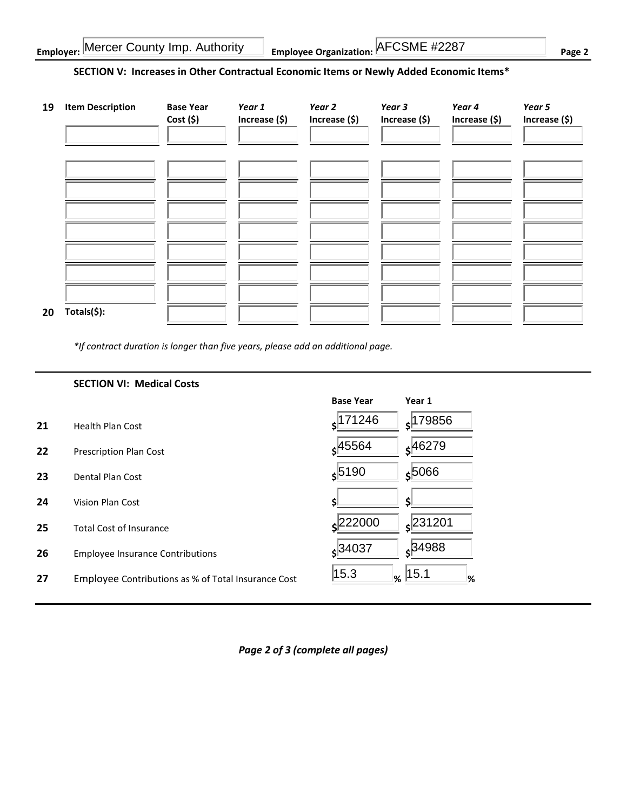| <b>Employer: Mercer County Imp. Authority</b> | <b>Employee Organization: AFCSME #2287</b> | $P$ age $\sim$ |
|-----------------------------------------------|--------------------------------------------|----------------|
|-----------------------------------------------|--------------------------------------------|----------------|

## **SECTION V: Increases in Other Contractual Economic Items or Newly Added Economic Items\***

| 19 | <b>Item Description</b> | <b>Base Year</b><br>$Cost($ \$) | Year 1<br>Increase (\$) | Year 2<br>Increase (\$) | Year 3<br>Increase (\$) | Year 4<br>Increase (\$) | Year 5<br>Increase (\$) |
|----|-------------------------|---------------------------------|-------------------------|-------------------------|-------------------------|-------------------------|-------------------------|
|    |                         |                                 |                         |                         |                         |                         |                         |
|    |                         |                                 |                         |                         |                         |                         |                         |
|    |                         |                                 |                         |                         |                         |                         |                         |
| 20 | Totals(\$):             |                                 |                         |                         |                         |                         |                         |

*\*If contract duration is longer than five years, please add an additional page.*

|    | <b>SECTION VI: Medical Costs</b>                    |                        |                                |
|----|-----------------------------------------------------|------------------------|--------------------------------|
|    |                                                     | <b>Base Year</b>       | Year 1                         |
| 21 | <b>Health Plan Cost</b>                             | 171246ء                | 179856<br>$\boldsymbol{\zeta}$ |
| 22 | <b>Prescription Plan Cost</b>                       | $\frac{1}{5}45564$     | $s^{46279}$                    |
| 23 | Dental Plan Cost                                    | $s$ 5190               | $\frac{1}{5}$ 5066             |
| 24 | Vision Plan Cost                                    |                        |                                |
| 25 | <b>Total Cost of Insurance</b>                      | 222000                 | $\frac{1}{2}$  231201          |
| 26 | <b>Employee Insurance Contributions</b>             | $\frac{1}{5}$ 34037    | $s^{34988}$                    |
| 27 | Employee Contributions as % of Total Insurance Cost | 15.3 <br>$\frac{9}{6}$ | 15.1<br>%                      |

*Page 2 of 3 (complete all pages)*